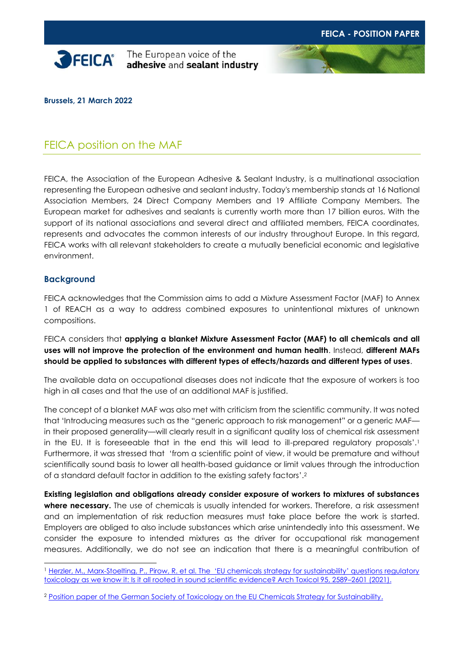



**Brussels, 21 March 2022**

# FEICA position on the MAF

FEICA, the Association of the European Adhesive & Sealant Industry, is a multinational association representing the European adhesive and sealant industry. Today's membership stands at 16 National Association Members, 24 Direct Company Members and 19 Affiliate Company Members. The European market for adhesives and sealants is currently worth more than 17 billion euros. With the support of its national associations and several direct and affiliated members, FEICA coordinates, represents and advocates the common interests of our industry throughout Europe. In this regard, FEICA works with all relevant stakeholders to create a mutually beneficial economic and legislative environment.

# **Background**

FEICA acknowledges that the Commission aims to add a Mixture Assessment Factor (MAF) to Annex 1 of REACH as a way to address combined exposures to unintentional mixtures of unknown compositions.

FEICA considers that **applying a blanket Mixture Assessment Factor (MAF) to all chemicals and all uses will not improve the protection of the environment and human health**. Instead, **different MAFs should be applied to substances with different types of effects/hazards and different types of uses**.

The available data on occupational diseases does not indicate that the exposure of workers is too high in all cases and that the use of an additional MAF is justified.

The concept of a blanket MAF was also met with criticism from the scientific community. It was noted that 'Introducing measures such as the "generic approach to risk management" or a generic MAF in their proposed generality—will clearly result in a significant quality loss of chemical risk assessment in the EU. It is foreseeable that in the end this will lead to ill-prepared regulatory proposals'.<sup>1</sup> Furthermore, it was stressed that 'from a scientific point of view, it would be premature and without scientifically sound basis to lower all health-based guidance or limit values through the introduction of a standard default factor in addition to the existing safety factors'. 2

**Existing legislation and obligations already consider exposure of workers to mixtures of substances where necessary.** The use of chemicals is usually intended for workers. Therefore, a risk assessment and an implementation of risk reduction measures must take place before the work is started. Employers are obliged to also include substances which arise unintendedly into this assessment. We consider the exposure to intended mixtures as the driver for occupational risk management measures. Additionally, we do not see an indication that there is a meaningful contribution of

<sup>1</sup> [Herzler, M., Marx-Stoelting, P., Pirow, R. et al. The](https://pubmed.ncbi.nlm.nih.gov/34156488/) 'EU chemicals strategy for sustainability' questions regulatory [toxicology as we know it: Is it all rooted in sound scientific evidence? Arch Toxicol 95, 2589](https://pubmed.ncbi.nlm.nih.gov/34156488/)–2601 (2021).

<sup>2</sup> [Position paper of the German Society of Toxicology on the EU Chemicals Strategy for Sustainability.](https://www.toxikologie.de/fileadmin/user_upload/GT/Wissenschaftliche_Ausarbeitungen/2021-EU_ChemicalsStrategyForSustainability.pdf)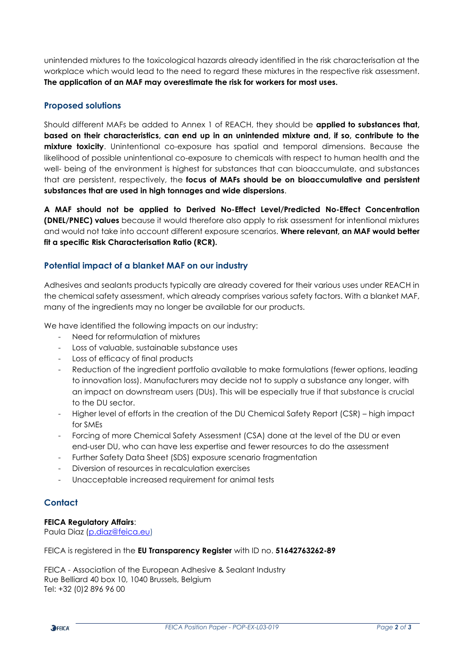unintended mixtures to the toxicological hazards already identified in the risk characterisation at the workplace which would lead to the need to regard these mixtures in the respective risk assessment. **The application of an MAF may overestimate the risk for workers for most uses.**

# **Proposed solutions**

Should different MAFs be added to Annex 1 of REACH, they should be **applied to substances that, based on their characteristics, can end up in an unintended mixture and, if so, contribute to the mixture toxicity**. Unintentional co-exposure has spatial and temporal dimensions. Because the likelihood of possible unintentional co-exposure to chemicals with respect to human health and the well- being of the environment is highest for substances that can bioaccumulate, and substances that are persistent, respectively, the **focus of MAFs should be on bioaccumulative and persistent substances that are used in high tonnages and wide dispersions**.

**A MAF should not be applied to Derived No-Effect Level/Predicted No-Effect Concentration (DNEL/PNEC) values** because it would therefore also apply to risk assessment for intentional mixtures and would not take into account different exposure scenarios. **Where relevant, an MAF would better fit a specific Risk Characterisation Ratio (RCR).**

# **Potential impact of a blanket MAF on our industry**

Adhesives and sealants products typically are already covered for their various uses under REACH in the chemical safety assessment, which already comprises various safety factors. With a blanket MAF, many of the ingredients may no longer be available for our products.

We have identified the following impacts on our industry:

- Need for reformulation of mixtures
- Loss of valuable, sustainable substance uses
- Loss of efficacy of final products
- Reduction of the ingredient portfolio available to make formulations (fewer options, leading to innovation loss). Manufacturers may decide not to supply a substance any longer, with an impact on downstream users (DUs). This will be especially true if that substance is crucial to the DU sector.
- Higher level of efforts in the creation of the DU Chemical Safety Report (CSR) high impact for SMEs
- Forcing of more Chemical Safety Assessment (CSA) done at the level of the DU or even end-user DU, who can have less expertise and fewer resources to do the assessment
- Further Safety Data Sheet (SDS) exposure scenario fragmentation
- Diversion of resources in recalculation exercises
- Unacceptable increased requirement for animal tests

### **Contact**

#### **FEICA Regulatory Affairs**:

Paula Diaz [\(p.diaz@feica.eu\)](mailto:p.diaz@feica.eu)

FEICA is registered in the **EU Transparency Register** with ID no. **51642763262-89**

FEICA - Association of the European Adhesive & Sealant Industry Rue Belliard 40 box 10, 1040 Brussels, Belgium Tel: +32 (0)2 896 96 00